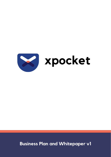

# **xpocket**

### **Business Plan and Whitepaper v1**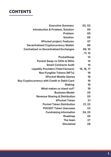### **CONTENTS**

| <b>Executive Summary</b>                            | 02, 03     |
|-----------------------------------------------------|------------|
| <b>Introduction &amp; Problem, Solution</b>         | 04         |
| <b>Problem</b>                                      | 05         |
| <b>Solution</b>                                     | 06         |
| <b>XPocket project, Features</b>                    | 07         |
| <b>Decentralized Cryptocurrency Wallet</b>          | 08         |
| <b>Centralized vs Decentralized Exchanges</b>       | 09, 10     |
|                                                     | , 11, 12   |
| <b>PocketSwap</b>                                   | 13         |
| <b>Pocket Swap vs CEXs &amp; DEXs</b>               | 14         |
| <b>Smart Contracts Audit</b>                        | 14         |
| <b>Liquidity Providers (Yield Farmers)</b>          | 15, 16, 17 |
| <b>Non-Fungible Tokens (NFTs)</b>                   | 18         |
| <b>XPocket Mobile Games</b>                         | 18         |
| <b>Buy Cryptocurrency with Credit or Debit Card</b> | 19         |
| <b>Staking</b>                                      | 19         |
| What makes us stand out?                            | 19         |
| <b>Business Model</b>                               | 20         |
| <b>Revenue Sharing &amp; Distribution</b>           | 20         |
| <b>XPocket Token</b>                                | 21         |
| <b>Pocket Token Distribution</b>                    | 21, 22     |
| <b>POCKET Token Usecases</b>                        | 23         |
| <b>Fundraising Information</b>                      | 24, 25     |
| Roadmap                                             | 26         |
| The team                                            | 27         |
| <b>Disclaimer</b>                                   | 28         |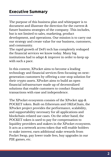The purpose of this business plan and whitepaper is to document and illustrate the direction for the current & future business strategies of the company. This includes, but is not limited to sales, marketing, product development, and operations. Our mission is to carry out our strategy and create value for our business, customers, and community.

The rapid growth of DeFi tech has completely reshaped the financial services we know today. Many big institutions had to adapt & improve in order to keep up with such a pace.

In this context, XPocket aims to become a leading technology and financial services firm focusing on nextgeneration customers by offering a one-stop solution for their crypto assets. XPocket aims to build an open financial infrastructure made up of decentralized solutions that enable customers to conduct financial transactions with ease and independence.

The XPocket ecosystem consists of the XPocket app & POCKET token. Built on Ethereum and OKExChain, the XPocket project provides the performance, scalability, and supportability necessary for all applications and blockchain-related use cases. On the other hand, the POCKET token is used to pay for compensation to liquidity providers and stakers in the XPocket ecosystem. It acts as a network access token that will enable holders to stake interest, earn additional stake rewards from Pocket Swap, pay lower trade fees, buy upgrades in our P2E games, etc.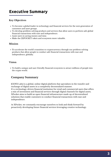### **Executive Summary**

- To become a global leader in technology and financial services for the next generation of customers and asset groups.
- To develop problem-solving products and services that allow users to perform safe global financial transactions with ease and independence.
- Assist users in saving money and time.
- Make the (X)POCKET token and ecosystem more valuable.

**T**o accelerate the world's transition to cryptocurrency through our problem-solving products that allow people to conduct safe financial transactions with ease and independence, globally.

To build a unique and user-friendly financial ecosystem to attract millions of people into the crypto world.

#### **Key Objectives**

#### **Mission**

#### **Vision**

#### **Company Summary**

**(**GENX Labs) is a global, online digital platform that specializes in the transfer and exchange of digital assets in a completely decentralized manner. It's a technology-driven financial institution for retail and commercial users that offers a mix of investment and financial services through digital channels for digital assets. XPocket aims to build an open financial infrastructure made up of decentralized solutions that enable customers to conduct financial transactions with ease and independence.

At XPocket, we constantly encourage ourselves to look and think forward by proactively developing future financial services leveraging creative technology.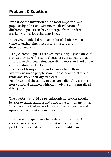Ever since the invention of the most important and popular digital asset - Bitcoin, the distribution of different digital assets have emerged from the free market with various characteristics.

Using current digital asset exchanges carry a great dose of risk, as they have the same characteristics as traditional financial exchanges, being custodial, centralized and under constant threat of hacks.

The lack of transparency and security from those institutions made people search for safer alternatives to trade and store their digital assets.

People wanted the ability to exchange digital assets in a non-custodial manner, without involving any centralized third party.

The platform should be permissionless, anyone should be able to trade, transact and contribute to it, at any time. That decentralized network should always stay live and up-to-date, without any interuptions.

However, people did not have a lot of choices when it came to exchanging these assets in a safe and decentralized way.

This piece of paper describes a decentralized app & ecosystem with such features that is able to solve problems of security, centralization, liquidity, and more.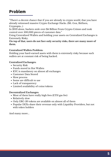## **Problem**

- Security Risk
- Funds stored in Hot Wallets
- KYC is mandatory on almost all exchanges
- Customer Data Stored
- Slow process
- Some are difficult to use
- Lack of transparency
	-
- Limited availability of coins/tokens

- Most of them have really high fees (ETH gas fee)
- Relatively slow
- Only ERC-20 tokens are available on almost all of them
- Popular DEXs share their revenue only with Liquidity Providers, but not with token holders

"There's a decent chance that if you are already in crypto world, that you have already witnessed massive Crypto Exchange Hacks. (Mt. Gox, Bitfinex, Cryptopia...)

In 2019 alone, hackers stole over \$4 Billion From Crypto Crimes and took control over 500,000 pieces of customer data."

Using Centralized Wallets and holding your assets on Centralized Exchanges is Extremely Risky.

**On top of that, users do not face only security risks, there are many more of them.**

#### **Centralized Wallets Problem:**

Holding your hard-earned assets with them is extremely risky because such wallets are at constant risk of being hacked.

#### **Centralized Exchanges:**

#### **Decentralized Exchanges:**

And many more...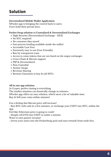## **Solution**

#### **Decentralized Mobile Wallet Application**

XPocket app is bringing the control back to users. Users hold their private keys.

#### **Pocket Swap solution vs Centralized & Decentralized Exchanges**

- High Security (Decentralized Exchange DEX)
- No KYC required
- No customer data stored
- Fast process (trading available inside the wallet)
- Accessible/Low Fees
- Extremely easy to use (User Friendly)
- Ran by transparent team
- Access to coins/tokens that are not listed on the major exchanges
- Cross-Chain & Bitcoin support
- P2P & Decentralized
- Non-Custodial
- Atomic Swaps
- Revenue Sharing
- Browser Extension to buy & sell NFTs

**All in one app solution:**

In Crypto, perfect timing is everything.

The market situation can drastically change in minutes.

XPocket app offers an easy solution, which saves a lot of valuable time.

Buy & Sell your coins within minutes!

Got a feeling that Bitcoin price will increase?

- Buy BTC with cash in a few minutes, or exchange your USDT into BTC, within the app.

Feel like Ethereum price is going to crash?

- Simply sell ETH into USDT in under a minute.

Want to earn passive income?

- Invest your assets into the PocketSwap pool and earn rewards from trade fees.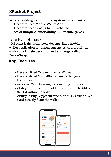- Decentralized Cryptocurrency Wallet
- Decentralized Multi-Blockchain Exchange PocketSwap
- 
- Access to Yield farming by providing liquidity
- Ability to store a different kinds of rare collectibles (NFTs) within the wallet
- Ability to buy Cryptocurrencies with a Credit or Debit Card directly from the wallet



### **XPocket Project**

- **Decentralized Mobile Wallet App**
- **Decentralized Cross-Chain Exchange**
- **Set of unique & entertaining P2E mobile games**

**We are building a complex ecosystem that consists of:**

#### **What is XPocket app?**

- XPocket is the completely **decentralized** mobile **wallet** application for digital currencies, with a **built-in multi-blockchain decentralized exchange**, called **PocketSwap**.

### **App Features**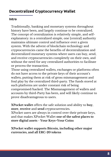### **Decentralized Cryptocurrency Wallet**

Traditionally, banking and monetary systems throughout history have been, and largely continue to be centralized. The concept of centralization is relatively simple, and selfexplanatory: in a centralized simple, one [central] authority maintains ultimate control and influence over a given system. With the advent of blockchain technology and cryptocurrencies came the benefits of decentralization and decentralized monetary systems where users can buy, send, and receive cryptocurrencies completely on their own, and without the need for any centralized authorities to facilitate or process the transaction.

Those using centralized wallets, exchanges or platforms often do not have access to the private keys of their account's wallets, putting them at risk of gross mismanagement and foul play by the centralized third-party. The funds stored at such platforms are under constant risk of being compromised/hacked. The Mismanagement of wallets and accounts by third-Party has been, and will likely continue to prove disadvantageous to users.

**XPocket wallet** offers the safe solution and ability to **buy**, **store**, **receive** and **send** cryptocurrencies. XPocket users are always in control over their private keys, and that makes XPocket Wallet **one of the safest places to store digital assets** - **Your Keys=Your Coins**

**XPocket wallet supports Bitcoin, including other major currencies, and all ERC-20 tokens**

#### **Intro**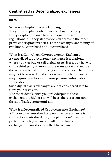### **Centralized vs Decentralized exchanges**

#### **Intro**

#### **What is a Cryptocurrency Exchange?**

They refer to places where you can buy or sell crypto. Every crypto exchange has its unique rules and regulations, but they all provide you access to the most prevalent cryptocurrencies. These exchanges are mainly of two kinds: Centralized and Decentralized

**What is a Centralized Cryptocurrency Exchange?** A centralized cryptocurrency exchange is a platform where you can buy or sell digital assets. Here, you have to trust a third party to monitor the transaction and secure the assets on behalf of the buyer and the seller. Their deals may not be tracked on the blockchain. Such exchanges may require you to submit your personal information for verification.

Such digital assets exchanges are not considered safe to store your assets on.

The more details/trust you provide/put to these exchanges, the higher risk will be as there is a constant threat of hacks/compromisation.

**What is a Decentralized Cryptocurrency Exchange?** A DEx or a decentralized cryptocurrency exchange is similar to a centralized one, except it doesn't have a third party on which you can rely. All of the funds in this exchange remain stored on the blockchain.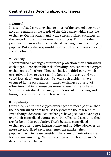### **Centralized vs Decentralized exchanges**

#### **1. Control**

In a centralized crypto exchange, most of the control over your account remains in the hands of the third party which runs the exchange. On the other hand, with a decentralized exchange, all the control of the account remains with you. This is another prominent reason why decentralized exchanges are becoming popular. But it's also responsible for the enhanced complexity of such platforms.

#### **2. Security**

Decentralized exchanges offer more protection than centralized exchanges. A considerable risk of trading with centralized crypto exchanges is of hackers. They can hack the third party which uses private keys to access all the funds of the users, and you could lose all of your deposit. Several such incidents have occurred in the past, and centralized exchanges put a lot of effort into making themselves more secure for their clients. With a decentralized exchange, there's no risk of hacking and losing one's funds due to such activities.

#### **3. Popularity**

Currently, Centralized crypto exchanges are more popular than the decentralized ones because they entered the market first. Even though decentralized exchanges have peculiar advantages over their centralized counterparts in wallets and accounts, they are far behind in popularity. That's because centralized exchanges offer better infrastructure and liquidity. However, as more decentralized exchanges enter the market, their popularity will increase considerably. Many organizations are focused on launching DExes in the market, such as Binance's decentralized exchange.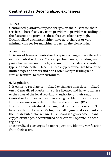### **Centralized vs Decentralized exchanges**

#### **4. Fees**

Centralized platforms impose charges on their users for their services. These fees vary from provider to provider according to the features one provides, these fees are often very high. Decentralized exchanges either have zero charges or very minimal charges for matching orders on the blockchain**.**

#### **5. Features**

In terms of features, centralized crypto exchanges have the edge over decentralized ones. You can perform margin trading, use portfolio management tools, and use multiple advanced order types to trade better. Decentralized crypto exchanges have quite limited types of orders and don't offer margin trading (and similar features) to their customers.

#### **6. Regulation**

It is easier to regulate centralized exchanges than decentralized ones. Centralized platforms require licenses and have to adhere to the rules of the local regulatory authority of their region. Centralized exchanges are often asking for Identity verification from their users in order to fully use the exchang. (KYC) In contrast to centralized exchanges, decentralized ones don't have regulation because it's highly challenging to do so thanks to their distributed blockchain. This means if a government bans crypto exchanges, decentralized ones can still operate in those regions.

Decentralized exchanges do not require any identity verification from their users.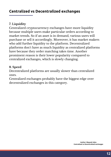#### **7. Liquidity**

Centralized cryptocurrency exchanges have more liquidity because multiple users make particular orders according to market trends. So if an asset is in demand, various users will purchase or sell it accordingly. Moreover, it has market makers who add further liquidity to the platform. Decentralized platforms don't have as much liquidity as centralized platforms have because they order matching takes time. Another prominent reason is their lower popularity compared to centralized exchanges, which is slowly changing.

#### **8. Speed**

Decentralized platforms are usually slower than centralized ones.

Centralized exchanges probably have the biggest edge over decentralized exchanges in this category.

### **Centralized vs Decentralized exchanges**

**Author: Mayank Sahu Centralized vs Decentralized exchanges**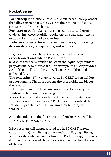### **Pocket Swap**

**PocketSwap** is an Ethereum & OKChain-based DEX protocol that allows users to trustlessly swap their tokens and coins across multiple blockchains.

**PocketSwap** pools tokens into smart contracts and users trade against these liquidity pools. Anyone can swap tokens or add tokens to a pool to **earn fees**.

It obviates the need for trusted intermediaries, prioritizing **decentralization, transparency, and security.**

In general, a flexible fee is taken by the pool contract on every transaction/trade on PocketSwap.

83.33% of this fee is divided between the liquidity providers proportionally to their share. For example, if a user provides 50% of the pool's liquidity, he will earn 50% of the total collected fee.

The remaining ~17% will go towards POCKET token holders, proportionally. The more tokens the user holds, the bigger

the reward.

Token swaps are highly secure since they do not require funds to be held on the exchange.

XPocket has teamed up with OKChain to extend its services and position in the industry. XPocket team has solved the scalability problems of ETH network, by building on OKChain.

Available tokens in the first version of Pocket Swap will be: - USDT, ETH, POCKET, OKT

XPocket team will charge a fixed fee in POCKET tokens (amount TBD) for a listing on PocketSwap. Paying a listing fee is not the only way to get listed on Pocket Swap, the assets that pass the review of the XPocket team will be listed ahead of the queue.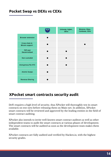#### **Pocket Swap vs DEXs vs CEXs**



### **XPocket smart contracts security audit**

DeFi requires a high level of security, thus XPocket will thoroughly test its smart contracts on test-nets before releasing them on Main-net. In addition, XPocket smart contracts will be reviewed and approved by the leading entities in the field of smart contract auditing.

XPocket also intends to invite well-known smart contract auditors as well as other independent teams to audit the smart contracts at various phases of development. The smart contracts will be audited as soon as the development team makes them available.

XPocket contracts are fully audited and verified by Hacken.io, with the highest security grades.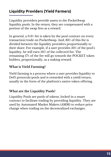### **Liquidity Providers (Yield Farmers)**

Liquidity providers provide assets to the PocketSwap liquidity pools. In the return, they are compensated with a portion of the swap fees as a reward.

In general, a 0.3% fee is taken by the pool contract on every transaction/trade on PocketSwap. And, 83% of this fee is divided between the liquidity providers proportionally to their share. For example, if a user provides 50% of the pool's liquidity, he will earn 50% of the collected fee. The remaining 17% of the fee will go towards the POCKET token holders, proportionally, as a staking reward.

Yield farming is a process where a user provides liquidity to DeFi protocols/pools and is rewarded with a yield/return, usually in the form of the platform's native token offering.

#### **What is Yield Farming?**

### **What are the Liquidity Pools?**

Liquidity Pools are pools of tokens, locked in a smart contract to facilitate trading by providing liquidity. They are used by Automated Market Makers (AMM) to reduce price change when trading on the decentralized exchanges.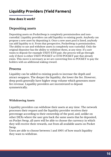### **Liquidity Providers (Yield Farmers)**

#### **How does it work?**

Depositing assets on PocketSwap is completely permissionless and noncustodial. Liquidity providers can add liquidity to existing pools. Anybody can propose a new asset by depositing it. Once a new asset pool is listed, anybody can add liquidity to it. From that perspective, PocketSwap is permissionless. The ability to use and withdraw assets is completely non-custodial. Only the original depositor has the ability to withdraw them, at any time. If a user wants to deposit for example USDT/ETH pair, the process will go through only if there is either USDT/POCKET or ETH/POCKET pair that already exists. This move is necessary as we are converting fees to POCKET to pay the holders with an additional staking reward.

#### **Depositing assets**

Liquidity can be added to existing pools to increase the depth and attract swappers. The deeper the liquidity, the lower the fee. However, deep pools generally have higher swap volume which generates more fee revenue. Liquidity providers are incentivized to deposit symmetrically.

#### **Process**

#### **Withdrawing Assets**

Liquidity providers can withdraw their assets at any time. The network processes their request and the liquidity provider receives their percentage according to their ownership of the pool, and, unlike on other DEXs where the user gets back the same assets that he deposited, on Pocket Swap, all users will be able to choose the currency in which they will receive their rewards, out from all available assets on Pocket Swap.

Users are able to choose between 1 and 100% of how much liquidity they want to withdraw.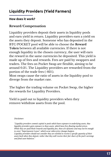### **Liquidity Providers (Yield Farmers)**

#### **How does it work?**

Liquidity providers deposit their assets in liquidity pools and earn yield in return. Liquidity providers earn a yield on the assets they deposit. Someone who has deposited in the BTC/POCKET pool will be able to choose the **Reward Token** between all available currencies. If there is not enough liquidity in the chosen currency, the user will earn the reward in the same currencies he deposited. This yield is made up of fees and rewards. Fees are paid by swappers and traders. The fees on Pocket Swap are flexible, aiming to be around 0.3%. The Liquidity providers are rewarded from the portion of the trade fees (~83%).

Most swaps cause the ratio of assets in the liquidity pool to diverge from the market rate.

The higher the trading volume on Pocket Swap, the higher the rewards for Liquidity Providers.

Yield is paid out to liquidity providers when they remove/withdraw assets from the pool.

#### **Reward/Compensation**

*Disclaimer:*

*"Liquidity providers commit capital to pools which have exposure to underlying assets, thus liquidity providers gain exposure to those assets, which have free-floating market prices. While they are paid block rewards and liquidity fees, these are dynamic and may not be enough to cover "Impermanent Losses", which occur when price changes happen. Liquidity providers should not consider they are entitled to receive a specific quantity of their assets back when they deposit, rather that they will receive their fair share of the pool's earnings and final asset balances."*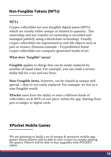#### **NFTs**

Crypto collectibles are non-fungible digital assets (NFTs) which are mostly either unique or limited in quantity. The ownership and any transfer of ownership is recorded and managed publicly using a blockchain technology. Usually, crypto collectibles are represented as real-life objects such as pets or avatars. (Famous example - CryptoKitties) Some crypto collectibles are computer generated works of art.

#### **What does ''fungible'' mean?**

**Fungible** applies to things that can be easily replaced by another of equal value. For example, you can trade a twenty dollar bill for a ten and two fives.

**Non-Fungible items**, however, can be classed as unique and special – they're not easily replaced. For example, we live in a non-fungible world.

**XPocket** users have the ability to store a different kinds of collectibles, art & NFTs in one place, within the app. Starting from pets to badges or digital cards.

### **XPocket Mobile Games**

We are planning to build a set of unique & attractive mobile app games where players will be able to earn crypto by simply playing the games. Players will be able to buy upgrades with POCKET token.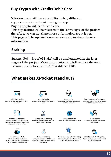### **Buy Crypto with Credit/Debit Card**

**XPocket** users will have the ability to buy different cryptocurrencies without leaving the app. Buying crypto will be fast and easy. This app feature will be released in the later stages of the project, therefore, we can not share more information about it yet. This page will be updated once we are ready to share the new information.

### **What makes XPocket stand out?**



**Revenue Sharing Liquidity providers and \$POCKET token holders earn 100% of fee revenue for a limited time**

**Multi-Coin Wallet Securely store BTC, ETH, ERC-20 tokens and more**





**Cross-Chain Swaps Securely exchange BTC, ETH, ERC-20 tokens and Stablecoins, Exchange assets using Atomic Swap technology**





**One-tap Crypto Purchases Buy Bitcoin in a few minutes using credit or debit cards within the app**

**Non-Custodial**

**Only you can access and manage your funds**



**Anonymity Full privacy, No data storage, No KYC, No GEO restrictions**

**In App Yield Farming Invest into PocketSwap pool and earn portion of the trade fees**





**NFT support Securely store, receive or send Non-Fungible Tokens**



#### **Incentive to HODL**

**POCKET token holders will earn a portion of the trade fees, proportionally as an additional staking reward**

**User Friendly & Time saving Extremely easy to use, exchange or buy crypto without leaving the app**



**Set of XPocket P2E games Earn crypto by playing our super fun & unique mobile games**

**Utility rich token Explore the set of our unique use-cases**

### **Staking**

Staking (PoS - Proof of Stake) will be implemented in the later stages of the project. More information will follow once the team becomes ready to share it. APY is still yet TBD.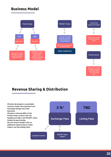### **Business Model**



### **Revenue Sharing & Distribution**

**XPocket developed a sustainable revenue model, deriving fees from exchange listings and order execution. XPocket is sharing 100% of the Pocket Swap revenue with the liquidity providers and POCKET token holders proportionally. We will reward holders with an**

**additional opportunity to stake tokens, just by holding them.**



**Players will be able to buy gear & upgrades with POCKET token. More info coming soon.**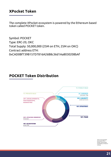Symbol: POCKET Type: ERC-20, OKC Total Supply: 50,000,000 (25M on ETH, 25M on OKC) Contract address ETH: 0xCAD0Bf739B157D7816A26B8c36d1Aa8030208bAf

The complete XPocket ecosystem is powered by the Ethereum based token called POCKET token.

### **POCKET Token Distribution**



\*We can not guarantee that exactly 10% of POCKET will be locked immediately on Pocket or UniSwap.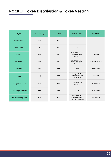### **POCKET Token Distribution & Token Vesting**

| <b>Type</b>             | % of supply | Locked     | <b>Release rate</b>                                                           | <b>Duration</b>  |
|-------------------------|-------------|------------|-------------------------------------------------------------------------------|------------------|
| <b>Private Sale</b>     | $~1\%$      | <b>No</b>  |                                                                               |                  |
| <b>Public Sale</b>      | 1%          | <b>No</b>  |                                                                               |                  |
| Airdrop                 | 4%          | <b>Yes</b> | 50% after first 6<br>months, 50%<br>after 12                                  | 12 Months        |
| <b>Strategic</b>        | 10%         | <b>Yes</b> | <b>Strategic A: 10% PM</b><br>Strategic B: 11.11% PM<br>Strategic C: 12.5% PM | 10, 9 & 8 Months |
| Liquidity               | 10%         | <b>Yes</b> | 100%                                                                          | 12 Months        |
| <b>Team</b>             | 14%         | <b>Yes</b> | Yearly unlock of<br>20% on May 1st<br>2023-2027                               | 5 Years          |
| <b>Ecosystem Fund</b>   | 15%         | <b>Yes</b> | 33% every 4<br>months                                                         | 12 Months        |
| <b>Staking Reserves</b> | 20%         | <b>Yes</b> | 100%                                                                          | 8 Months         |
| Dev, Marketing, CEX     | 25%         | <b>Yes</b> | 33% unlock one<br>month after launch.<br>22% every 6 months                   | 18 Months        |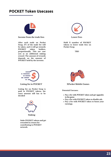### **POCKET Token Usecases**



**After each trade on Pocket Swap, 17% of the trade fee will be taken, and it will go towards POCKET token holders, proportionally. This use case acts as an additional staking reward. The amount of rewards depends on the amount of POCKET held by the investor.**



**Income from the trade fees Lower Fees**

- decided<br>decided<br>**Pay a fee with POCKET token and get upgrades in the game.**
	- **Pay a fee with POCKET token to disable ads.**
	- **Pay a fee with POCKET token to boost your earnings.**

**Hold X number of POCKET tokens to lower trade fees on Pocket Swap.**

**TBD**





#### **Listing fee in POCKET XPocket Mobile Games**

**Listing fee on Pocket Swap is paid in POCKET tokens, the exact amount still has to be**



**Potential Usecases:**

**Stake POCKET tokens and get rewarded in return for contributing to POCKET network.**

**Staking**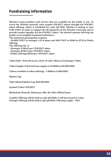### **Fundraising information**

**XPocket creates products and services that are available for the public to use. To access the XPocket network, users acquire POCKET tokens through the POCKET token offering, which is scheduled for early Q3 2021. XPocket is aiming to raise 3.5M USDT in order to support the development of the XPocket ecosystem and to provide market liquidity for the POCKET token. The desired amount will help the project to accomplish its planned milestones.**

**The minimum participation requires:**

**- 50,000 USDT in Strategic A & B phase and 500 USDT or \$500 in ETH in Public offering.**

**The offering rate is:**

- **(Strategic A) \$0.65 per 1 POCKET token**
- **(Strategic B) \$0.75 per 1 POCKET token**
- **(Public offering) \$0.85 per 1 POCKET token**

**Token Role: Network access, Store of value, Means of exchange, Utility**

**Token Supply: Fixed and max supply at 50 Million (50,000,000)**

**Tokens available in token offering: ~5 Million (5,000,000)**

**Market Cap:**

**Fully Diluted Market Cap: \$42,500,000**

#### **Symbol/Ticker: POCKET**

#### **Blockchain Network: Ethereum, ERC-20, OKC (OKExChain)**

**A public Offering will be held in early Q3 2022, it will last around 3-5 days. Strategic Offering will be held in Q2-Q3 2022. Offering Length - TBD.**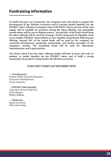**To build and grow our community, the company must raise funds to support the development of the XPocket ecosystem and to provide market liquidity for the POCKET token. XPocket is aiming to raise 3.5M USDT. Eleven percent of the total supply will be available for purchase during the token offering, Any potentially unsold tokens will be sent to Staking reserve. Around 40% of the funds raised from the token offering will be used for creating a Pocket Swap pool for liquidity. Such an act enables POCKET token holders to have liquidity immediately following the offering, Around 50% of the raised funds will be used by the company for continued development, marketing, partnerships, and further execution of the company's strategy. The remaining funds will be used for Operations, Administration, and Legal activities.**

**The funds raised from the token offering enables XPocket to grow and scale its product, to enable liquidity for the POCKET token, and to build a strong community of members to help further the XPocket ecosystem.**

### **Fundraising information**

#### **3.5M USDT HARD CAP DISTRIBUTION**

**Developments** Further Pocket Swap developments Ecosystem Developments Team expansion

**POCKET token liquidity** Uniswap & Pocket Swap Pool CEX Listing(s) Market Making

**Marketing** Brand Awareness PR & Advertising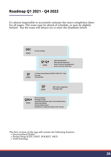It's almost impossible to accurately estimate the exact completion dates for all stages. The team may be ahead of schedule, or may be slightly behind - but the team will always try to meet the deadlines below.

### **Roadmap Q1 2021 - Q4 2022**

- Decentralized Wallet
- Pocket Swap (ETH, USDT, POCKET, OKT)
- Yield Farming

The first version of the app will contain the following features:

**Q2** 2022



**OKC chain integration Strategic Sale**

2022 **Q3&4 ICO (Launchpad\*) Exchange Listings PocketSwap Expansion (New Coins & Blockchains) Wallet App Release XPocket Mobile Games Integration of crypto purchases within the app**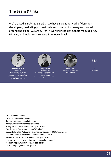We're based in Belgrade, Serbia. We have a great network of designers, developers, marketing professionals and community managers located around the globe. We are currently working with developers from Belarus, Ukraine, and India. We also have 3 in-house developers.



Web: xpocket.finance Email: info@xpocket.network Twitter: twitter.com/xpocketfinance Telegram: https://t.me/xpocketfinance Telegram announcements: t.me/xpocketann Reddit: https://www.reddit.com/r/XPocket/ BitcoinTalk: https://bitcointalk.org/index.php?topic=5292404.new#new LinkedIn: https://www.linkedin.com/company/xpocket Facebook: https://www.facebook.com/xpocketdefi Instagram: https://www.instagram.com/xpocket.finance/ Medium: https://medium.com/@xpocketdefi GitHub: https://github.com/xpocket

**Nemanja Sindjelic** Founder & CEO

**Vasilije Vucetic** Community Growth

**TBA**

SK Project Manager

**Graduated Marketing Manager 6 years of experience in Crypto Involved in many Crypto Startups EX Community Management Lead and Marketing Advisor @ Celsius**





Alexey Gabets Head of Business Development **Senior Developer**

**Graduated at the College of Applied Studies in Electric Engineering and Computer Science Community Management Lead @ Celsius**